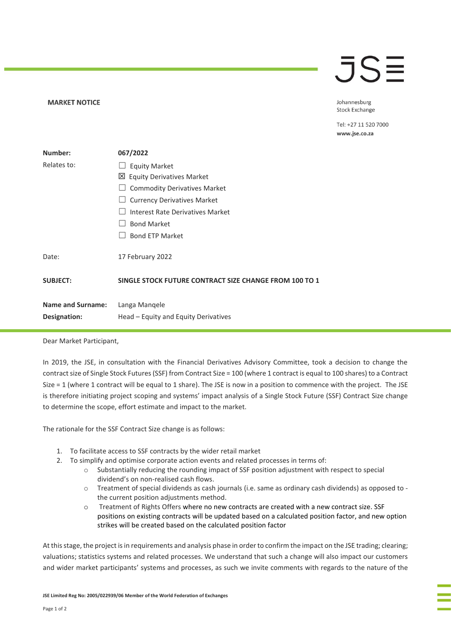## $\overline{\mathsf{J}}\mathsf{S}$

## **MARKET NOTICE**

Johannesburg **Stock Exchange** 

Tel: +27 11 520 7000 www.jse.co.za

| Number:                  | 067/2022                                               |
|--------------------------|--------------------------------------------------------|
| Relates to:              | <b>Equity Market</b>                                   |
|                          | 凶 Equity Derivatives Market                            |
|                          | <b>Commodity Derivatives Market</b>                    |
|                          | <b>Currency Derivatives Market</b>                     |
|                          | Interest Rate Derivatives Market                       |
|                          | <b>Bond Market</b>                                     |
|                          | <b>Bond ETP Market</b>                                 |
| Date:                    | 17 February 2022                                       |
| <b>SUBJECT:</b>          | SINGLE STOCK FUTURE CONTRACT SIZE CHANGE FROM 100 TO 1 |
| <b>Name and Surname:</b> | Langa Mangele                                          |
| Designation:             | Head – Equity and Equity Derivatives                   |
|                          |                                                        |

## Dear Market Participant,

In 2019, the JSE, in consultation with the Financial Derivatives Advisory Committee, took a decision to change the contract size of Single Stock Futures (SSF) from Contract Size = 100 (where 1 contract is equal to 100 shares) to a Contract Size = 1 (where 1 contract will be equal to 1 share). The JSE is now in a position to commence with the project. The JSE is therefore initiating project scoping and systems' impact analysis of a Single Stock Future (SSF) Contract Size change to determine the scope, effort estimate and impact to the market.

The rationale for the SSF Contract Size change is as follows:

- 1. To facilitate access to SSF contracts by the wider retail market
- 2. To simplify and optimise corporate action events and related processes in terms of:
	- $\circ$  Substantially reducing the rounding impact of SSF position adjustment with respect to special dividend's on non-realised cash flows.
	- o Treatment of special dividends as cash journals (i.e. same as ordinary cash dividends) as opposed to the current position adjustments method.
	- o Treatment of Rights Offers where no new contracts are created with a new contract size. SSF positions on existing contracts will be updated based on a calculated position factor, and new option strikes will be created based on the calculated position factor

At this stage, the project is in requirements and analysis phase in order to confirm the impact on the JSE trading; clearing; valuations; statistics systems and related processes. We understand that such a change will also impact our customers and wider market participants' systems and processes, as such we invite comments with regards to the nature of the